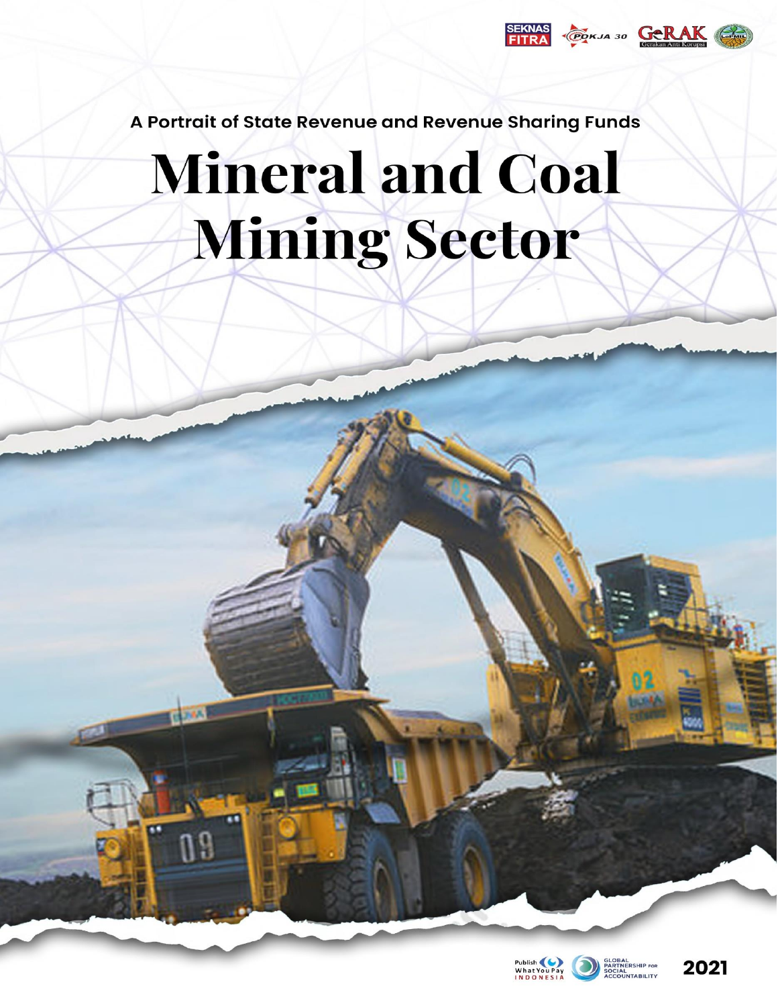

A Portrait of State Revenue and Revenue Sharing Funds

# **Mineral and Coal** Mining Sector

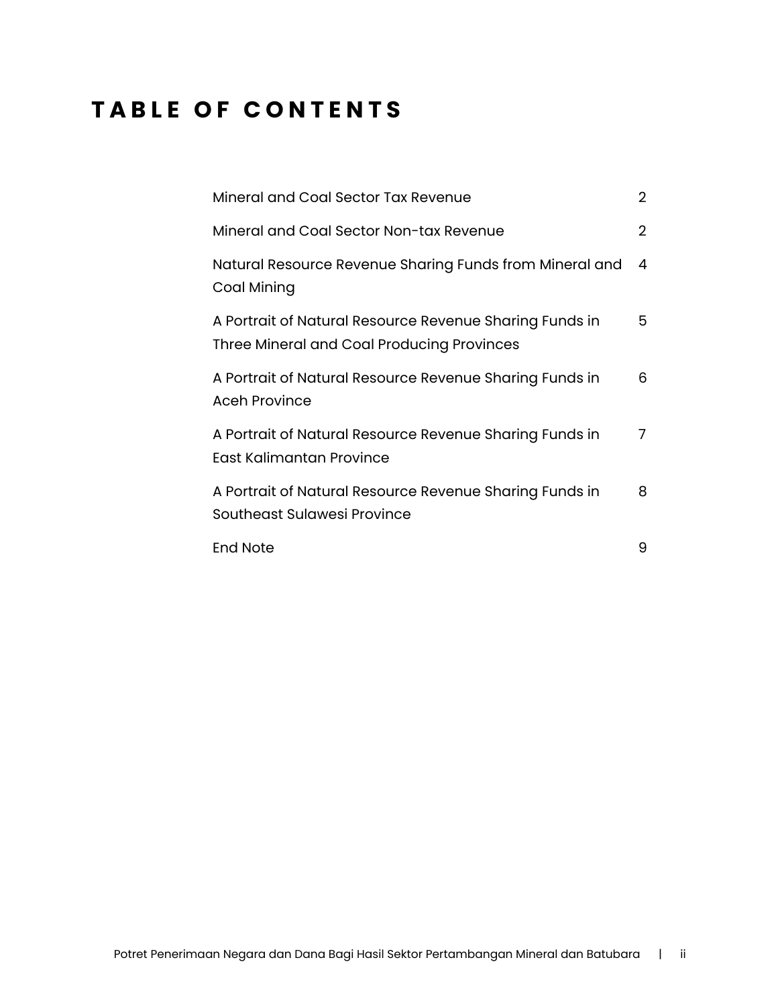## **TABLE OF CONTENTS**

| Mineral and Coal Sector Tax Revenue                                                                   | $\overline{2}$ |
|-------------------------------------------------------------------------------------------------------|----------------|
| Mineral and Coal Sector Non-tax Revenue                                                               | 2              |
| Natural Resource Revenue Sharing Funds from Mineral and<br>Coal Mining                                | 4              |
| A Portrait of Natural Resource Revenue Sharing Funds in<br>Three Mineral and Coal Producing Provinces | 5              |
| A Portrait of Natural Resource Revenue Sharing Funds in<br><b>Aceh Province</b>                       | 6              |
| A Portrait of Natural Resource Revenue Sharing Funds in<br>East Kalimantan Province                   | 7              |
| A Portrait of Natural Resource Revenue Sharing Funds in<br><b>Southeast Sulawesi Province</b>         | 8              |
| <b>End Note</b>                                                                                       | 9              |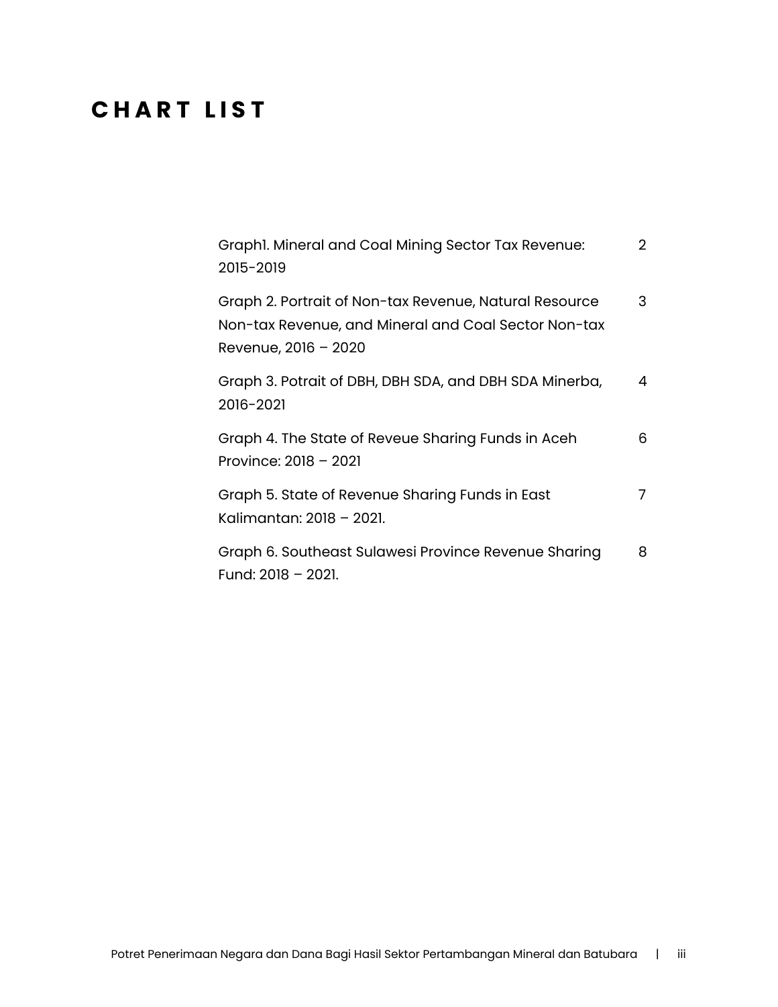## **C H A R T L I S T**

| Graphl. Mineral and Coal Mining Sector Tax Revenue:<br>2015-2019                                                                       | $\overline{2}$ |
|----------------------------------------------------------------------------------------------------------------------------------------|----------------|
| Graph 2. Portrait of Non-tax Revenue, Natural Resource<br>Non-tax Revenue, and Mineral and Coal Sector Non-tax<br>Revenue, 2016 - 2020 | 3              |
| Graph 3. Potrait of DBH, DBH SDA, and DBH SDA Minerba,<br>2016-2021                                                                    | 4              |
| Graph 4. The State of Reveue Sharing Funds in Aceh<br>Province: $2018 - 2021$                                                          | 6              |
| Graph 5. State of Revenue Sharing Funds in East<br>Kalimantan: 2018 - 2021.                                                            | 7              |
| Graph 6. Southeast Sulawesi Province Revenue Sharing<br>Fund: 2018 - 2021.                                                             | 8              |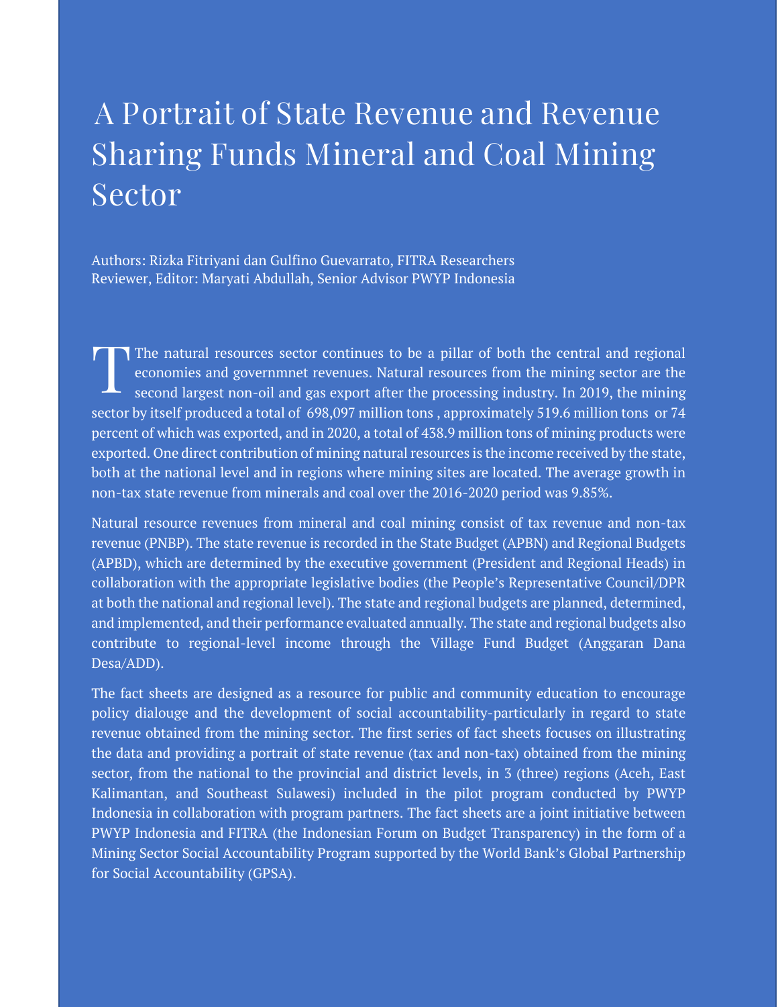# **A Portrait of State Revenue and Revenue Sharing Funds Mineral and Coal Mining Sector**

Authors: Rizka Fitriyani dan Gulfino Guevarrato, FITRA Researchers Reviewer, Editor: Maryati Abdullah, Senior Advisor PWYP Indonesia

The natural resources sector continues to be a pillar of both the central and regional economies and governmnet revenues. Natural resources from the mining sector are the second largest non-oil and gas export after the processing industry. In 2019, the mining sector by itself produced a total of 698,097 million tons , approximately 519.6 million tons or 74 percent of which was exported, and in 2020, a total of 438.9 million tons of mining products were exported. One direct contribution of mining natural resources is the income received by the state, both at the national level and in regions where mining sites are located. The average growth in non-tax state revenue from minerals and coal over the 2016-2020 period was 9.85%. **T**

Natural resource revenues from mineral and coal mining consist of tax revenue and non-tax revenue (PNBP). The state revenue is recorded in the State Budget (APBN) and Regional Budgets (APBD), which are determined by the executive government (President and Regional Heads) in collaboration with the appropriate legislative bodies (the People's Representative Council/DPR at both the national and regional level). The state and regional budgets are planned, determined, and implemented, and their performance evaluated annually. The state and regional budgets also contribute to regional-level income through the Village Fund Budget (Anggaran Dana Desa/ADD).

The fact sheets are designed as a resource for public and community education to encourage policy dialouge and the development of social accountability-particularly in regard to state revenue obtained from the mining sector. The first series of fact sheets focuses on illustrating the data and providing a portrait of state revenue (tax and non-tax) obtained from the mining sector, from the national to the provincial and district levels, in 3 (three) regions (Aceh, East Kalimantan, and Southeast Sulawesi) included in the pilot program conducted by PWYP Indonesia in collaboration with program partners. The fact sheets are a joint initiative between PWYP Indonesia and FITRA (the Indonesian Forum on Budget Transparency) in the form of a Mining Sector Social Accountability Program supported by the World Bank's Global Partnership for Social Accountability (GPSA).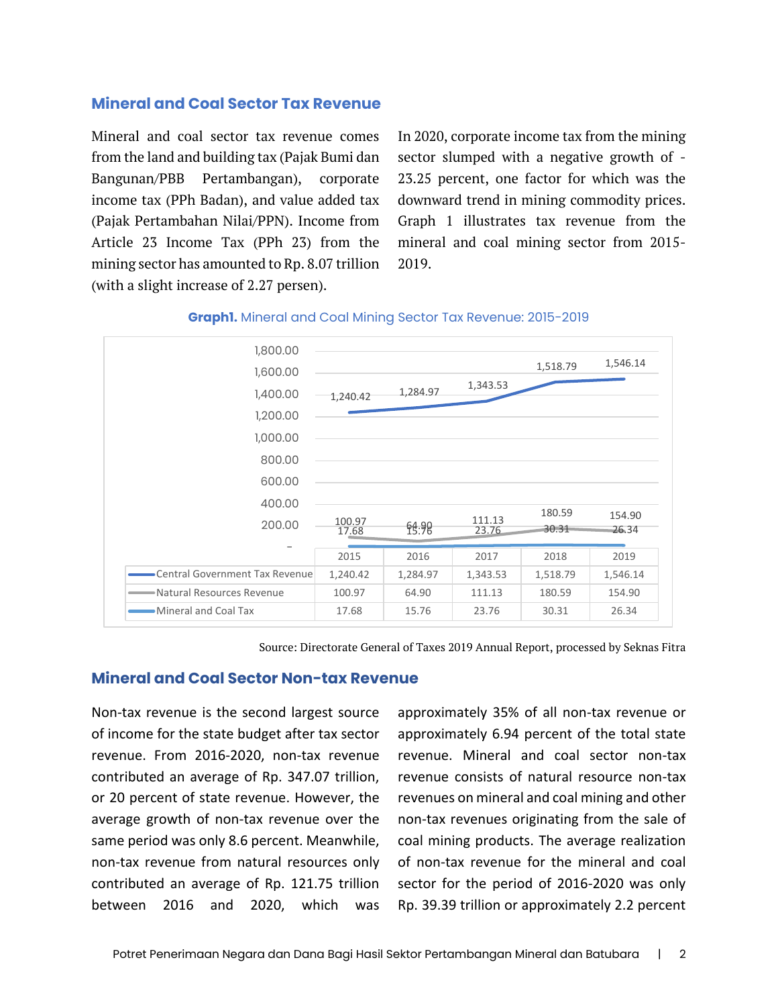#### **Mineral and Coal Sector Tax Revenue**

Mineral and coal sector tax revenue comes from the land and building tax (Pajak Bumi dan Bangunan/PBB Pertambangan), corporate income tax (PPh Badan), and value added tax (Pajak Pertambahan Nilai/PPN). Income from Article 23 Income Tax (PPh 23) from the mining sector has amounted to Rp. 8.07 trillion (with a slight increase of 2.27 persen).

In 2020, corporate income tax from the mining sector slumped with a negative growth of - 23.25 percent, one factor for which was the downward trend in mining commodity prices. Graph 1 illustrates tax revenue from the mineral and coal mining sector from 2015- 2019.





Source: Directorate General of Taxes 2019 Annual Report, processed by Seknas Fitra

#### **Mineral and Coal Sector Non-tax Revenue**

Non-tax revenue is the second largest source of income for the state budget after tax sector revenue. From 2016-2020, non-tax revenue contributed an average of Rp. 347.07 trillion, or 20 percent of state revenue. However, the average growth of non-tax revenue over the same period was only 8.6 percent. Meanwhile, non-tax revenue from natural resources only contributed an average of Rp. 121.75 trillion between 2016 and 2020, which was

approximately 35% of all non-tax revenue or approximately 6.94 percent of the total state revenue. Mineral and coal sector non-tax revenue consists of natural resource non-tax revenues on mineral and coal mining and other non-tax revenues originating from the sale of coal mining products. The average realization of non-tax revenue for the mineral and coal sector for the period of 2016-2020 was only Rp. 39.39 trillion or approximately 2.2 percent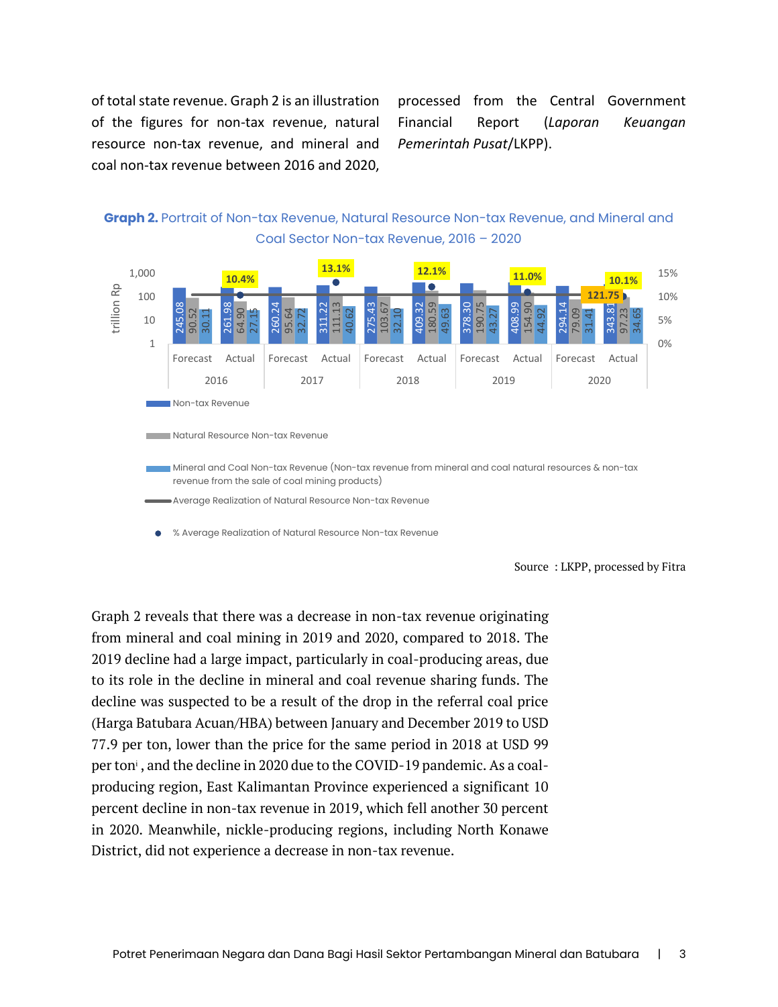of total state revenue. Graph 2 is an illustration of the figures for non-tax revenue, natural resource non-tax revenue, and mineral and coal non-tax revenue between 2016 and 2020,

processed from the Central Government Financial Report (*Laporan Keuangan Pemerintah Pusat*/LKPP).



**Graph 2.** Portrait of Non-tax Revenue, Natural Resource Non-tax Revenue, and Mineral and Coal Sector Non-tax Revenue, 2016 – 2020

Graph 2 reveals that there was a decrease in non-tax revenue originating from mineral and coal mining in 2019 and 2020, compared to 2018. The 2019 decline had a large impact, particularly in coal-producing areas, due to its role in the decline in mineral and coal revenue sharing funds. The decline was suspected to be a result of the drop in the referral coal price (Harga Batubara Acuan/HBA) between January and December 2019 to USD 77.9 per ton, lower than the price for the same period in 2018 at USD 99 per ton<sup>*i*</sup>, and the decline in 2020 due to the COVID-19 pandemic. As a coalproducing region, East Kalimantan Province experienced a significant 10 percent decline in non-tax revenue in 2019, which fell another 30 percent in 2020. Meanwhile, nickle-producing regions, including North Konawe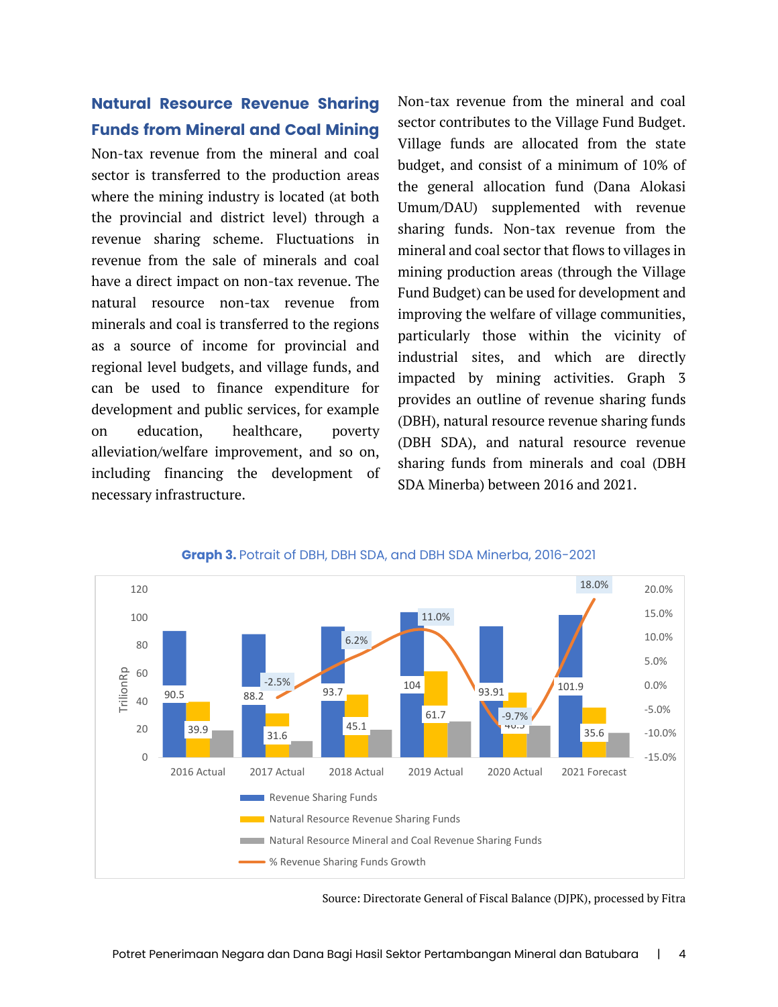#### **Natural Resource Revenue Sharing Funds from Mineral and Coal Mining**

Non-tax revenue from the mineral and coal sector is transferred to the production areas where the mining industry is located (at both the provincial and district level) through a revenue sharing scheme. Fluctuations in revenue from the sale of minerals and coal have a direct impact on non-tax revenue. The natural resource non-tax revenue from minerals and coal is transferred to the regions as a source of income for provincial and regional level budgets, and village funds, and can be used to finance expenditure for development and public services, for example on education, healthcare, poverty alleviation/welfare improvement, and so on, including financing the development of necessary infrastructure.

Non-tax revenue from the mineral and coal sector contributes to the Village Fund Budget. Village funds are allocated from the state budget, and consist of a minimum of 10% of the general allocation fund (Dana Alokasi Umum/DAU) supplemented with revenue sharing funds. Non-tax revenue from the mineral and coal sector that flows to villages in mining production areas (through the Village Fund Budget) can be used for development and improving the welfare of village communities, particularly those within the vicinity of industrial sites, and which are directly impacted by mining activities. Graph 3 provides an outline of revenue sharing funds (DBH), natural resource revenue sharing funds (DBH SDA), and natural resource revenue sharing funds from minerals and coal (DBH SDA Minerba) between 2016 and 2021.



#### **Graph 3.** Potrait of DBH, DBH SDA, and DBH SDA Minerba, 2016-2021

Source: Directorate General of Fiscal Balance (DJPK), processed by Fitra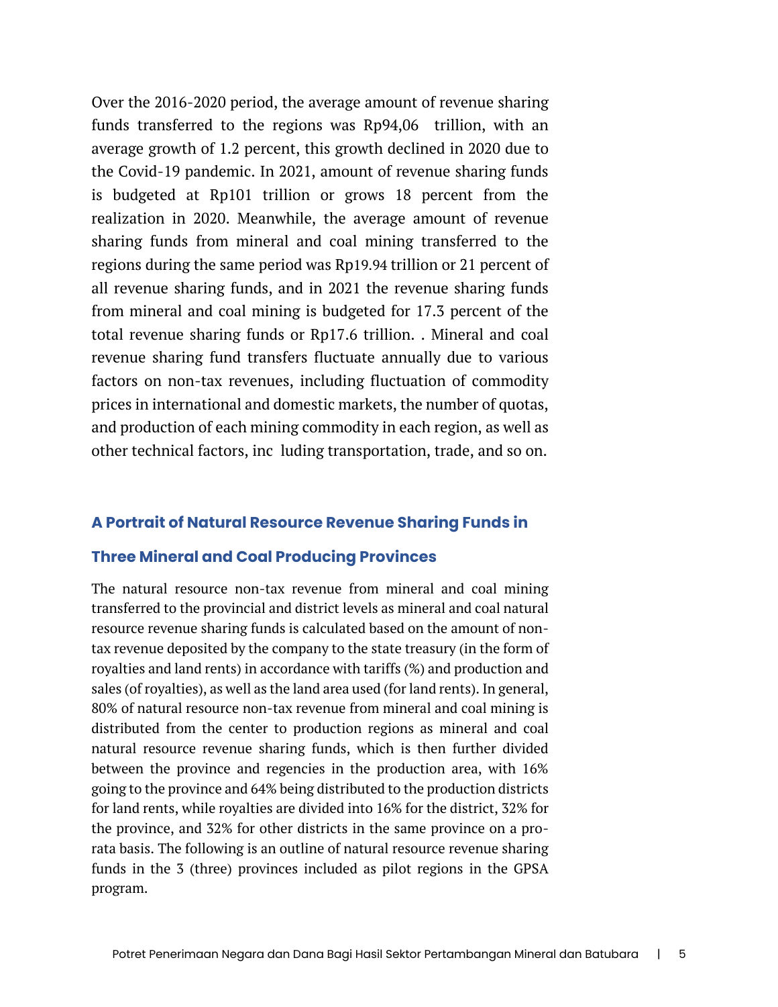Over the 2016-2020 period, the average amount of revenue sharing funds transferred to the regions was Rp94,06 trillion, with an average growth of 1.2 percent, this growth declined in 2020 due to the Covid-19 pandemic. In 2021, amount of revenue sharing funds is budgeted at Rp101 trillion or grows 18 percent from the realization in 2020. Meanwhile, the average amount of revenue sharing funds from mineral and coal mining transferred to the regions during the same period was Rp19.94 trillion or 21 percent of all revenue sharing funds, and in 2021 the revenue sharing funds from mineral and coal mining is budgeted for 17.3 percent of the total revenue sharing funds or Rp17.6 trillion. . Mineral and coal revenue sharing fund transfers fluctuate annually due to various factors on non-tax revenues, including fluctuation of commodity prices in international and domestic markets, the number of quotas, and production of each mining commodity in each region, as well as other technical factors, inc luding transportation, trade, and so on.

#### **A Portrait of Natural Resource Revenue Sharing Funds in**

#### **Three Mineral and Coal Producing Provinces**

The natural resource non-tax revenue from mineral and coal mining transferred to the provincial and district levels as mineral and coal natural resource revenue sharing funds is calculated based on the amount of nontax revenue deposited by the company to the state treasury (in the form of royalties and land rents) in accordance with tariffs (%) and production and sales (of royalties), as well as the land area used (for land rents). In general, 80% of natural resource non-tax revenue from mineral and coal mining is distributed from the center to production regions as mineral and coal natural resource revenue sharing funds, which is then further divided between the province and regencies in the production area, with 16% going to the province and 64% being distributed to the production districts for land rents, while royalties are divided into 16% for the district, 32% for the province, and 32% for other districts in the same province on a prorata basis. The following is an outline of natural resource revenue sharing funds in the 3 (three) provinces included as pilot regions in the GPSA program.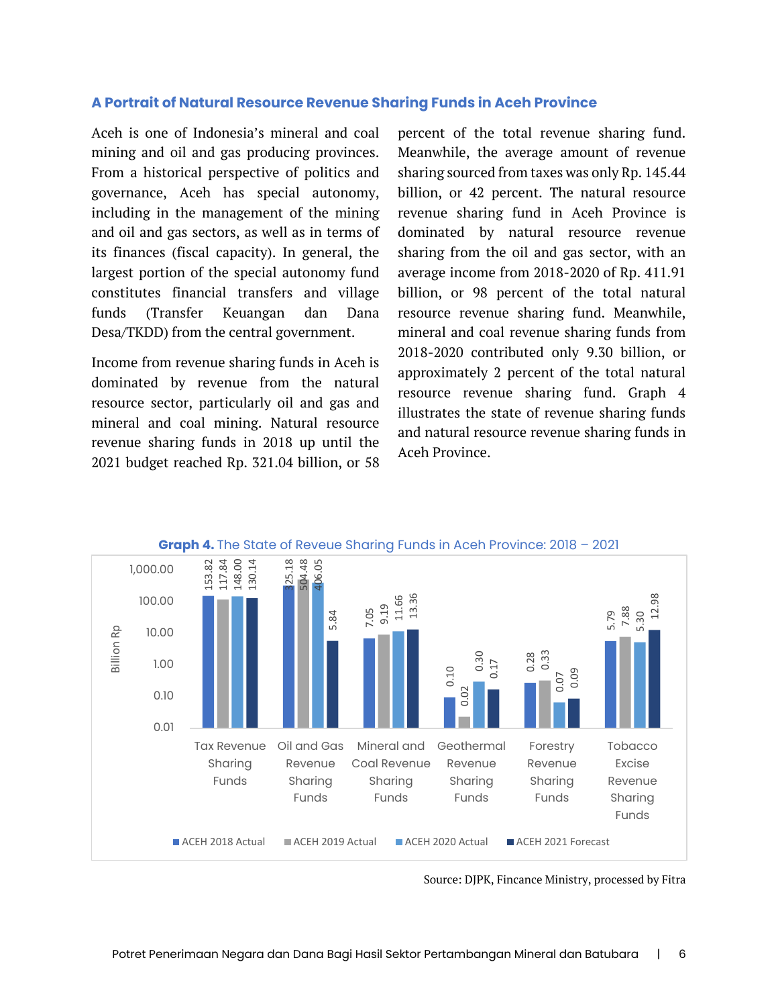#### **A Portrait of Natural Resource Revenue Sharing Funds in Aceh Province**

Aceh is one of Indonesia's mineral and coal mining and oil and gas producing provinces. From a historical perspective of politics and governance, Aceh has special autonomy, including in the management of the mining and oil and gas sectors, as well as in terms of its finances (fiscal capacity). In general, the largest portion of the special autonomy fund constitutes financial transfers and village funds (Transfer Keuangan dan Dana Desa/TKDD) from the central government.

Income from revenue sharing funds in Aceh is dominated by revenue from the natural resource sector, particularly oil and gas and mineral and coal mining. Natural resource revenue sharing funds in 2018 up until the 2021 budget reached Rp. 321.04 billion, or 58 percent of the total revenue sharing fund. Meanwhile, the average amount of revenue sharing sourced from taxes was only Rp. 145.44 billion, or 42 percent. The natural resource revenue sharing fund in Aceh Province is dominated by natural resource revenue sharing from the oil and gas sector, with an average income from 2018-2020 of Rp. 411.91 billion, or 98 percent of the total natural resource revenue sharing fund. Meanwhile, mineral and coal revenue sharing funds from 2018-2020 contributed only 9.30 billion, or approximately 2 percent of the total natural resource revenue sharing fund. Graph 4 illustrates the state of revenue sharing funds and natural resource revenue sharing funds in Aceh Province.



Source: DJPK, Fincance Ministry, processed by Fitra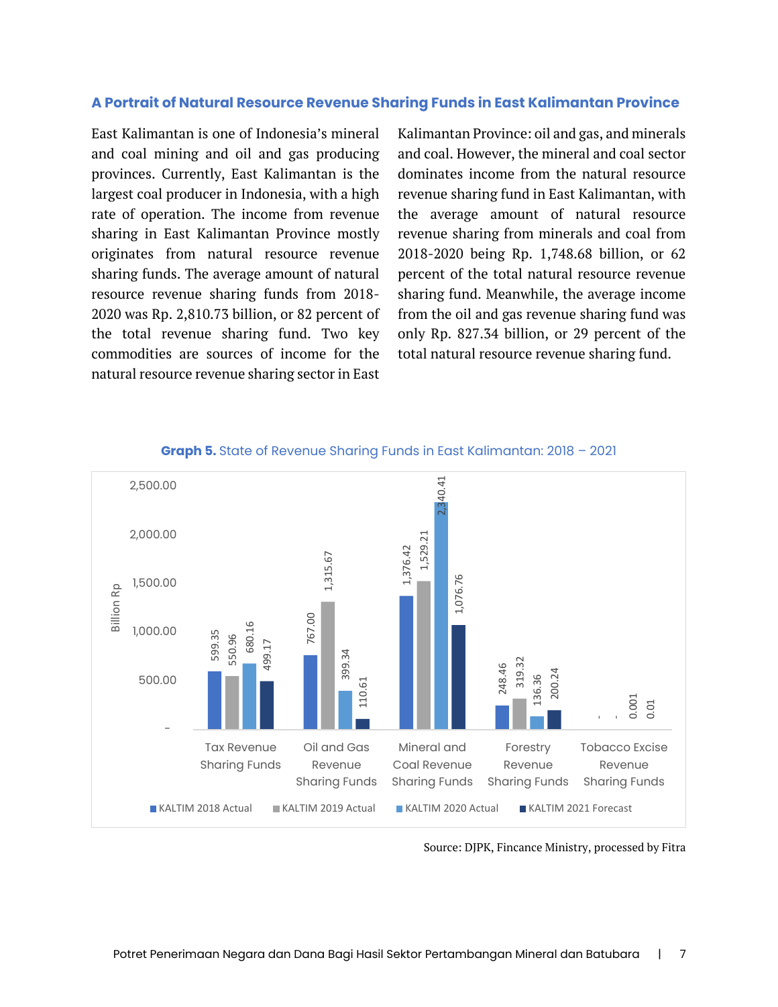#### **A Portrait of Natural Resource Revenue Sharing Funds in East Kalimantan Province**

East Kalimantan is one of Indonesia's mineral and coal mining and oil and gas producing provinces. Currently, East Kalimantan is the largest coal producer in Indonesia, with a high rate of operation. The income from revenue sharing in East Kalimantan Province mostly originates from natural resource revenue sharing funds. The average amount of natural resource revenue sharing funds from 2018- 2020 was Rp. 2,810.73 billion, or 82 percent of the total revenue sharing fund. Two key commodities are sources of income for the natural resource revenue sharing sector in East Kalimantan Province: oil and gas, and minerals and coal. However, the mineral and coal sector dominates income from the natural resource revenue sharing fund in East Kalimantan, with the average amount of natural resource revenue sharing from minerals and coal from 2018-2020 being Rp. 1,748.68 billion, or 62 percent of the total natural resource revenue sharing fund. Meanwhile, the average income from the oil and gas revenue sharing fund was only Rp. 827.34 billion, or 29 percent of the total natural resource revenue sharing fund.



#### **Graph 5.** State of Revenue Sharing Funds in East Kalimantan: 2018 – 2021

Source: DJPK, Fincance Ministry, processed by Fitra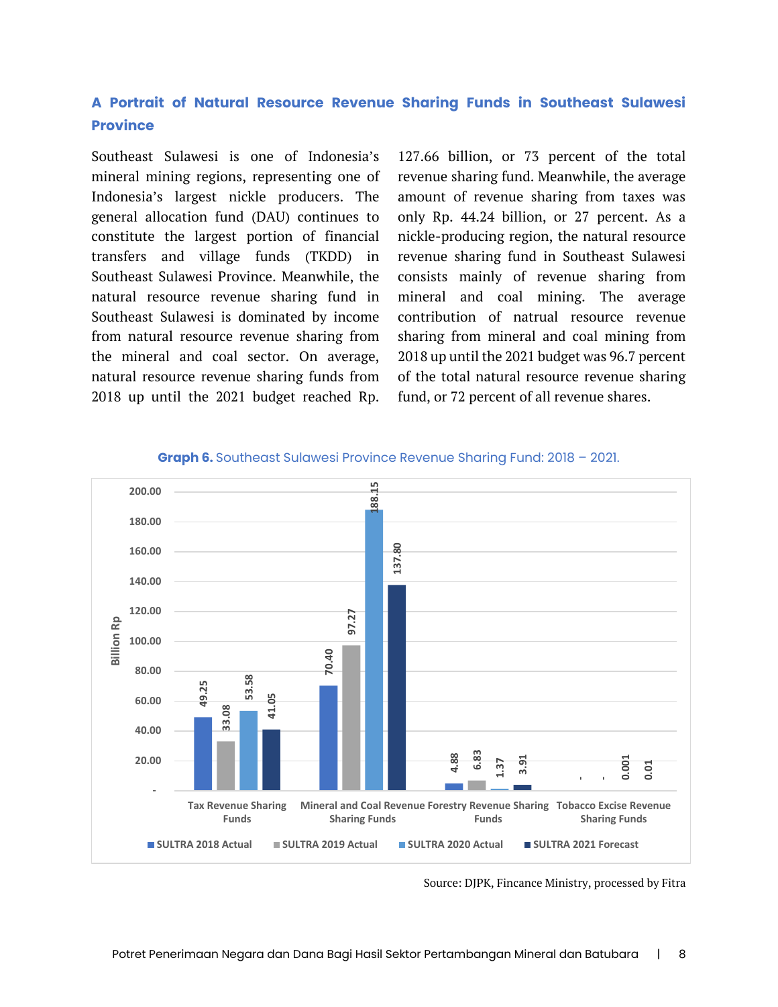#### **A Portrait of Natural Resource Revenue Sharing Funds in Southeast Sulawesi Province**

Southeast Sulawesi is one of Indonesia's mineral mining regions, representing one of Indonesia's largest nickle producers. The general allocation fund (DAU) continues to constitute the largest portion of financial transfers and village funds (TKDD) in Southeast Sulawesi Province. Meanwhile, the natural resource revenue sharing fund in Southeast Sulawesi is dominated by income from natural resource revenue sharing from the mineral and coal sector. On average, natural resource revenue sharing funds from 2018 up until the 2021 budget reached Rp.

127.66 billion, or 73 percent of the total revenue sharing fund. Meanwhile, the average amount of revenue sharing from taxes was only Rp. 44.24 billion, or 27 percent. As a nickle-producing region, the natural resource revenue sharing fund in Southeast Sulawesi consists mainly of revenue sharing from mineral and coal mining. The average contribution of natrual resource revenue sharing from mineral and coal mining from 2018 up until the 2021 budget was 96.7 percent of the total natural resource revenue sharing fund, or 72 percent of all revenue shares.



#### **Graph 6.** Southeast Sulawesi Province Revenue Sharing Fund: 2018 – 2021.

Source: DJPK, Fincance Ministry, processed by Fitra